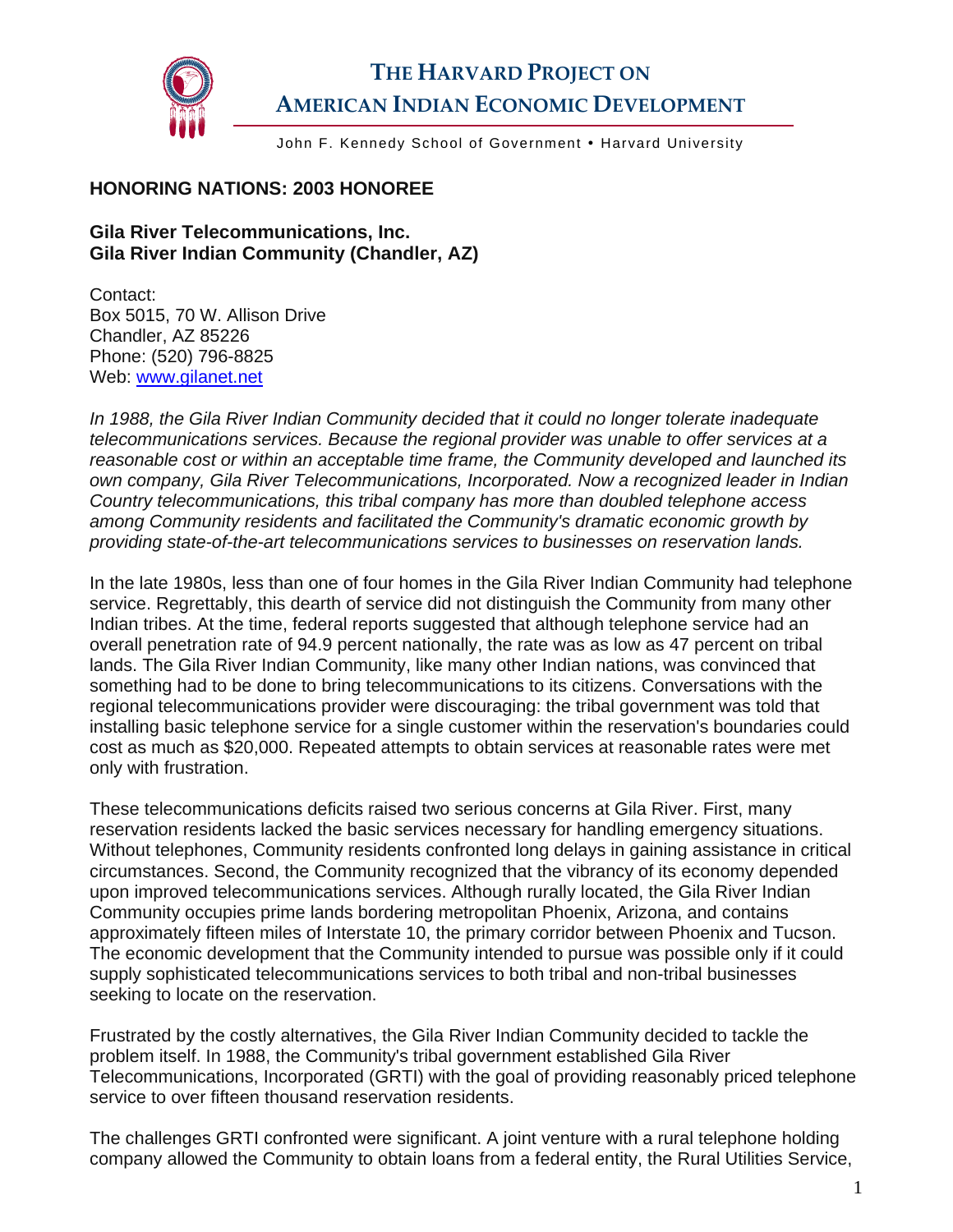

## **THE HARVARD PROJECT ON AMERICAN INDIAN ECONOMIC DEVELOPMENT**

John F. Kennedy School of Government • Harvard University

## **HONORING NATIONS: 2003 HONOREE**

## **Gila River Telecommunications, Inc. Gila River Indian Community (Chandler, AZ)**

Contact: Box 5015, 70 W. Allison Drive Chandler, AZ 85226 Phone: (520) 796-8825 Web: [www.gilanet.net](http://www.gilanet.net/) 

*In 1988, the Gila River Indian Community decided that it could no longer tolerate inadequate telecommunications services. Because the regional provider was unable to offer services at a reasonable cost or within an acceptable time frame, the Community developed and launched its own company, Gila River Telecommunications, Incorporated. Now a recognized leader in Indian Country telecommunications, this tribal company has more than doubled telephone access among Community residents and facilitated the Community's dramatic economic growth by providing state-of-the-art telecommunications services to businesses on reservation lands.* 

In the late 1980s, less than one of four homes in the Gila River Indian Community had telephone service. Regrettably, this dearth of service did not distinguish the Community from many other Indian tribes. At the time, federal reports suggested that although telephone service had an overall penetration rate of 94.9 percent nationally, the rate was as low as 47 percent on tribal lands. The Gila River Indian Community, like many other Indian nations, was convinced that something had to be done to bring telecommunications to its citizens. Conversations with the regional telecommunications provider were discouraging: the tribal government was told that installing basic telephone service for a single customer within the reservation's boundaries could cost as much as \$20,000. Repeated attempts to obtain services at reasonable rates were met only with frustration.

These telecommunications deficits raised two serious concerns at Gila River. First, many reservation residents lacked the basic services necessary for handling emergency situations. Without telephones, Community residents confronted long delays in gaining assistance in critical circumstances. Second, the Community recognized that the vibrancy of its economy depended upon improved telecommunications services. Although rurally located, the Gila River Indian Community occupies prime lands bordering metropolitan Phoenix, Arizona, and contains approximately fifteen miles of Interstate 10, the primary corridor between Phoenix and Tucson. The economic development that the Community intended to pursue was possible only if it could supply sophisticated telecommunications services to both tribal and non-tribal businesses seeking to locate on the reservation.

Frustrated by the costly alternatives, the Gila River Indian Community decided to tackle the problem itself. In 1988, the Community's tribal government established Gila River Telecommunications, Incorporated (GRTI) with the goal of providing reasonably priced telephone service to over fifteen thousand reservation residents.

The challenges GRTI confronted were significant. A joint venture with a rural telephone holding company allowed the Community to obtain loans from a federal entity, the Rural Utilities Service,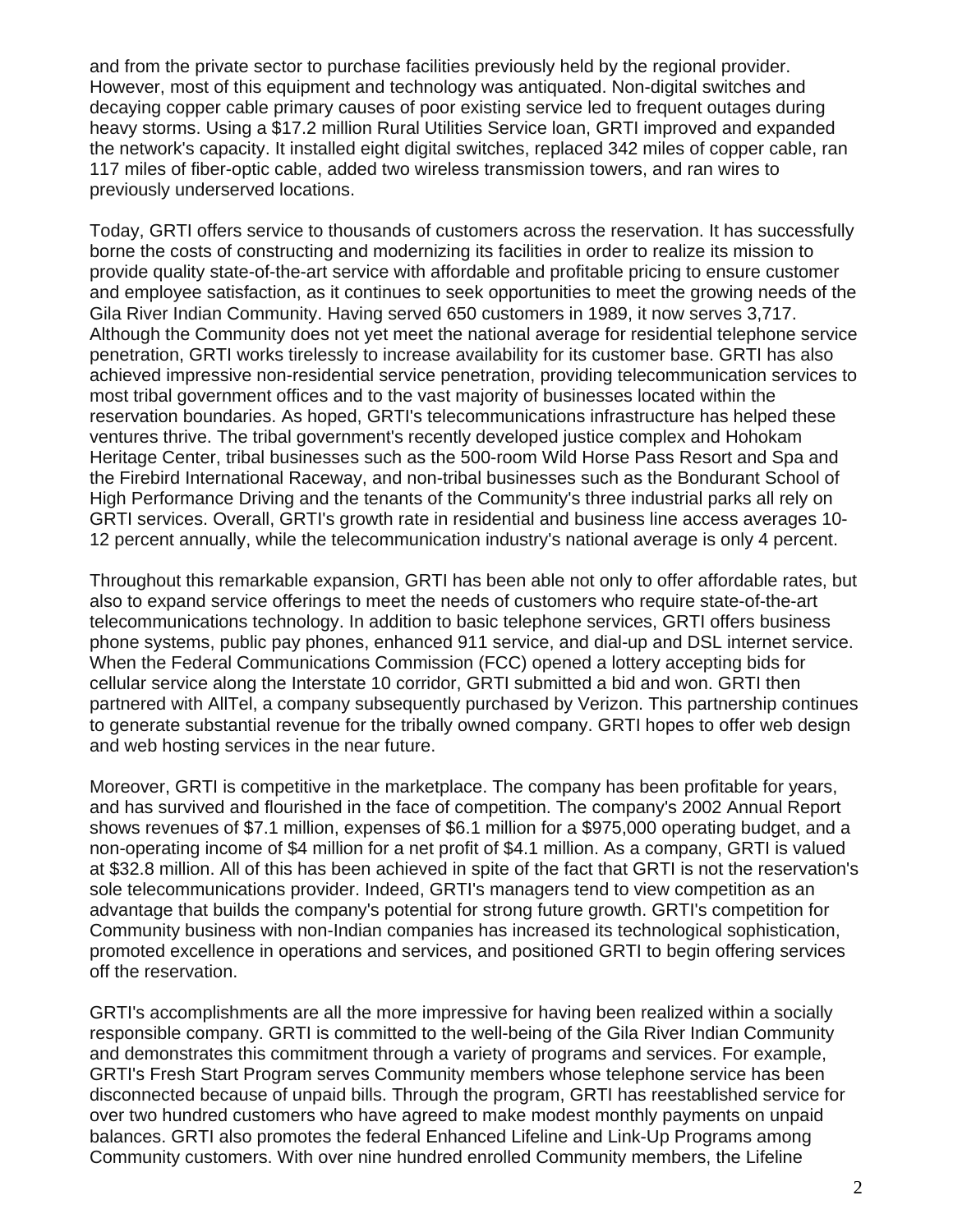and from the private sector to purchase facilities previously held by the regional provider. However, most of this equipment and technology was antiquated. Non-digital switches and decaying copper cable primary causes of poor existing service led to frequent outages during heavy storms. Using a \$17.2 million Rural Utilities Service loan, GRTI improved and expanded the network's capacity. It installed eight digital switches, replaced 342 miles of copper cable, ran 117 miles of fiber-optic cable, added two wireless transmission towers, and ran wires to previously underserved locations.

Today, GRTI offers service to thousands of customers across the reservation. It has successfully borne the costs of constructing and modernizing its facilities in order to realize its mission to provide quality state-of-the-art service with affordable and profitable pricing to ensure customer and employee satisfaction, as it continues to seek opportunities to meet the growing needs of the Gila River Indian Community. Having served 650 customers in 1989, it now serves 3,717. Although the Community does not yet meet the national average for residential telephone service penetration, GRTI works tirelessly to increase availability for its customer base. GRTI has also achieved impressive non-residential service penetration, providing telecommunication services to most tribal government offices and to the vast majority of businesses located within the reservation boundaries. As hoped, GRTI's telecommunications infrastructure has helped these ventures thrive. The tribal government's recently developed justice complex and Hohokam Heritage Center, tribal businesses such as the 500-room Wild Horse Pass Resort and Spa and the Firebird International Raceway, and non-tribal businesses such as the Bondurant School of High Performance Driving and the tenants of the Community's three industrial parks all rely on GRTI services. Overall, GRTI's growth rate in residential and business line access averages 10- 12 percent annually, while the telecommunication industry's national average is only 4 percent.

Throughout this remarkable expansion, GRTI has been able not only to offer affordable rates, but also to expand service offerings to meet the needs of customers who require state-of-the-art telecommunications technology. In addition to basic telephone services, GRTI offers business phone systems, public pay phones, enhanced 911 service, and dial-up and DSL internet service. When the Federal Communications Commission (FCC) opened a lottery accepting bids for cellular service along the Interstate 10 corridor, GRTI submitted a bid and won. GRTI then partnered with AllTel, a company subsequently purchased by Verizon. This partnership continues to generate substantial revenue for the tribally owned company. GRTI hopes to offer web design and web hosting services in the near future.

Moreover, GRTI is competitive in the marketplace. The company has been profitable for years, and has survived and flourished in the face of competition. The company's 2002 Annual Report shows revenues of \$7.1 million, expenses of \$6.1 million for a \$975,000 operating budget, and a non-operating income of \$4 million for a net profit of \$4.1 million. As a company, GRTI is valued at \$32.8 million. All of this has been achieved in spite of the fact that GRTI is not the reservation's sole telecommunications provider. Indeed, GRTI's managers tend to view competition as an advantage that builds the company's potential for strong future growth. GRTI's competition for Community business with non-Indian companies has increased its technological sophistication, promoted excellence in operations and services, and positioned GRTI to begin offering services off the reservation.

GRTI's accomplishments are all the more impressive for having been realized within a socially responsible company. GRTI is committed to the well-being of the Gila River Indian Community and demonstrates this commitment through a variety of programs and services. For example, GRTI's Fresh Start Program serves Community members whose telephone service has been disconnected because of unpaid bills. Through the program, GRTI has reestablished service for over two hundred customers who have agreed to make modest monthly payments on unpaid balances. GRTI also promotes the federal Enhanced Lifeline and Link-Up Programs among Community customers. With over nine hundred enrolled Community members, the Lifeline